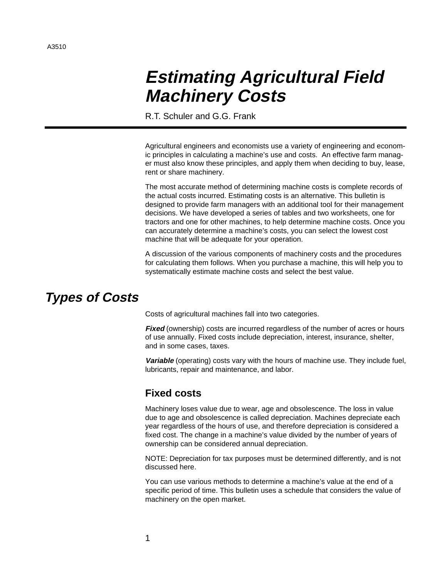# **Estimating Agricultural Field Machinery Costs**

R.T. Schuler and G.G. Frank

Agricultural engineers and economists use a variety of engineering and economic principles in calculating a machine's use and costs. An effective farm manager must also know these principles, and apply them when deciding to buy, lease, rent or share machinery.

The most accurate method of determining machine costs is complete records of the actual costs incurred. Estimating costs is an alternative. This bulletin is designed to provide farm managers with an additional tool for their management decisions. We have developed a series of tables and two worksheets, one for tractors and one for other machines, to help determine machine costs. Once you can accurately determine a machine's costs, you can select the lowest cost machine that will be adequate for your operation.

A discussion of the various components of machinery costs and the procedures for calculating them follows. When you purchase a machine, this will help you to systematically estimate machine costs and select the best value.

# **Types of Costs**

Costs of agricultural machines fall into two categories.

**Fixed** (ownership) costs are incurred regardless of the number of acres or hours of use annually. Fixed costs include depreciation, interest, insurance, shelter, and in some cases, taxes.

**Variable** (operating) costs vary with the hours of machine use. They include fuel, lubricants, repair and maintenance, and labor.

# **Fixed costs**

Machinery loses value due to wear, age and obsolescence. The loss in value due to age and obsolescence is called depreciation. Machines depreciate each year regardless of the hours of use, and therefore depreciation is considered a fixed cost. The change in a machine's value divided by the number of years of ownership can be considered annual depreciation.

NOTE: Depreciation for tax purposes must be determined differently, and is not discussed here.

You can use various methods to determine a machine's value at the end of a specific period of time. This bulletin uses a schedule that considers the value of machinery on the open market.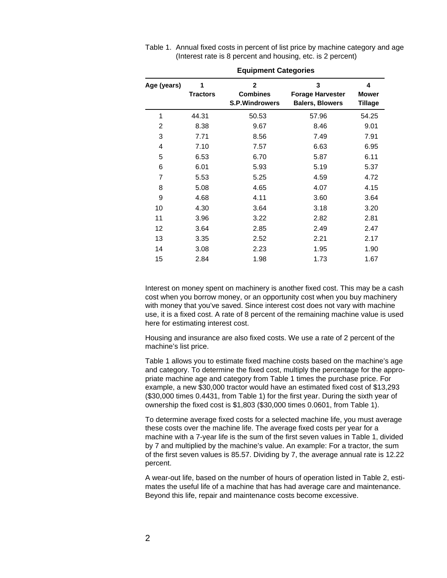| <b>Equipment Categories</b> |                      |                                                            |                                                        |                                     |
|-----------------------------|----------------------|------------------------------------------------------------|--------------------------------------------------------|-------------------------------------|
| Age (years)                 | 1<br><b>Tractors</b> | $\overline{2}$<br><b>Combines</b><br><b>S.P.Windrowers</b> | 3<br><b>Forage Harvester</b><br><b>Balers, Blowers</b> | 4<br><b>Mower</b><br><b>Tillage</b> |
| 1                           | 44.31                | 50.53                                                      | 57.96                                                  | 54.25                               |
| 2                           | 8.38                 | 9.67                                                       | 8.46                                                   | 9.01                                |
| 3                           | 7.71                 | 8.56                                                       | 7.49                                                   | 7.91                                |
| 4                           | 7.10                 | 7.57                                                       | 6.63                                                   | 6.95                                |
| 5                           | 6.53                 | 6.70                                                       | 5.87                                                   | 6.11                                |
| 6                           | 6.01                 | 5.93                                                       | 5.19                                                   | 5.37                                |
| $\overline{7}$              | 5.53                 | 5.25                                                       | 4.59                                                   | 4.72                                |
| 8                           | 5.08                 | 4.65                                                       | 4.07                                                   | 4.15                                |
| 9                           | 4.68                 | 4.11                                                       | 3.60                                                   | 3.64                                |
| 10                          | 4.30                 | 3.64                                                       | 3.18                                                   | 3.20                                |
| 11                          | 3.96                 | 3.22                                                       | 2.82                                                   | 2.81                                |
| 12                          | 3.64                 | 2.85                                                       | 2.49                                                   | 2.47                                |
| 13                          | 3.35                 | 2.52                                                       | 2.21                                                   | 2.17                                |
| 14                          | 3.08                 | 2.23                                                       | 1.95                                                   | 1.90                                |
| 15                          | 2.84                 | 1.98                                                       | 1.73                                                   | 1.67                                |

Table 1. Annual fixed costs in percent of list price by machine category and age (Interest rate is 8 percent and housing, etc. is 2 percent)

Interest on money spent on machinery is another fixed cost. This may be a cash cost when you borrow money, or an opportunity cost when you buy machinery with money that you've saved. Since interest cost does not vary with machine use, it is a fixed cost. A rate of 8 percent of the remaining machine value is used here for estimating interest cost.

Housing and insurance are also fixed costs. We use a rate of 2 percent of the machine's list price.

Table 1 allows you to estimate fixed machine costs based on the machine's age and category. To determine the fixed cost, multiply the percentage for the appropriate machine age and category from Table 1 times the purchase price. For example, a new \$30,000 tractor would have an estimated fixed cost of \$13,293 (\$30,000 times 0.4431, from Table 1) for the first year. During the sixth year of ownership the fixed cost is \$1,803 (\$30,000 times 0.0601, from Table 1).

To determine average fixed costs for a selected machine life, you must average these costs over the machine life. The average fixed costs per year for a machine with a 7-year life is the sum of the first seven values in Table 1, divided by 7 and multiplied by the machine's value. An example: For a tractor, the sum of the first seven values is 85.57. Dividing by 7, the average annual rate is 12.22 percent.

A wear-out life, based on the number of hours of operation listed in Table 2, estimates the useful life of a machine that has had average care and maintenance. Beyond this life, repair and maintenance costs become excessive.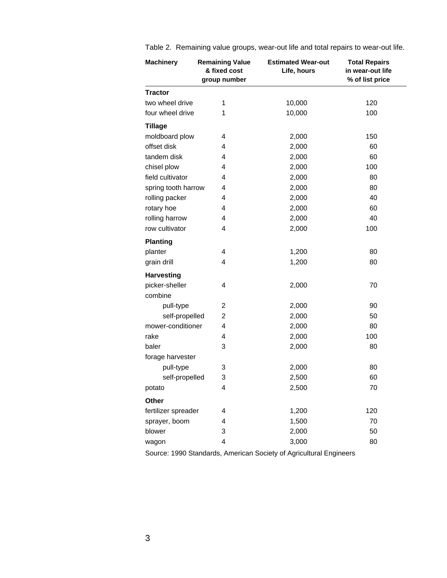| <b>Machinery</b>    | <b>Remaining Value</b><br>& fixed cost<br>group number | <b>Estimated Wear-out</b><br>Life, hours | <b>Total Repairs</b><br>in wear-out life<br>% of list price |
|---------------------|--------------------------------------------------------|------------------------------------------|-------------------------------------------------------------|
| <b>Tractor</b>      |                                                        |                                          |                                                             |
| two wheel drive     | 1                                                      | 10,000                                   | 120                                                         |
| four wheel drive    | 1                                                      | 10,000                                   | 100                                                         |
| <b>Tillage</b>      |                                                        |                                          |                                                             |
| moldboard plow      | 4                                                      | 2,000                                    | 150                                                         |
| offset disk         | 4                                                      | 2,000                                    | 60                                                          |
| tandem disk         | 4                                                      | 2,000                                    | 60                                                          |
| chisel plow         | 4                                                      | 2,000                                    | 100                                                         |
| field cultivator    | 4                                                      | 2,000                                    | 80                                                          |
| spring tooth harrow | 4                                                      | 2,000                                    | 80                                                          |
| rolling packer      | 4                                                      | 2,000                                    | 40                                                          |
| rotary hoe          | 4                                                      | 2,000                                    | 60                                                          |
| rolling harrow      | 4                                                      | 2,000                                    | 40                                                          |
| row cultivator      | 4                                                      | 2,000                                    | 100                                                         |
| <b>Planting</b>     |                                                        |                                          |                                                             |
| planter             | 4                                                      | 1,200                                    | 80                                                          |
| grain drill         | 4                                                      | 1,200                                    | 80                                                          |
| <b>Harvesting</b>   |                                                        |                                          |                                                             |
| picker-sheller      | 4                                                      | 2,000                                    | 70                                                          |
| combine             |                                                        |                                          |                                                             |
| pull-type           | 2                                                      | 2,000                                    | 90                                                          |
| self-propelled      | 2                                                      | 2,000                                    | 50                                                          |
| mower-conditioner   | 4                                                      | 2,000                                    | 80                                                          |
| rake                | 4                                                      | 2,000                                    | 100                                                         |
| baler               | 3                                                      | 2,000                                    | 80                                                          |
| forage harvester    |                                                        |                                          |                                                             |
| pull-type           | 3                                                      | 2,000                                    | 80                                                          |
| self-propelled      | 3                                                      | 2,500                                    | 60                                                          |
| potato              | 4                                                      | 2,500                                    | 70                                                          |
| Other               |                                                        |                                          |                                                             |
| fertilizer spreader | 4                                                      | 1,200                                    | 120                                                         |
| sprayer, boom       | 4                                                      | 1,500                                    | 70                                                          |
| blower              | 3                                                      | 2,000                                    | 50                                                          |
| wagon               | $\overline{\mathbf{4}}$                                | 3,000                                    | 80                                                          |

Table 2. Remaining value groups, wear-out life and total repairs to wear-out life.

Source: 1990 Standards, American Society of Agricultural Engineers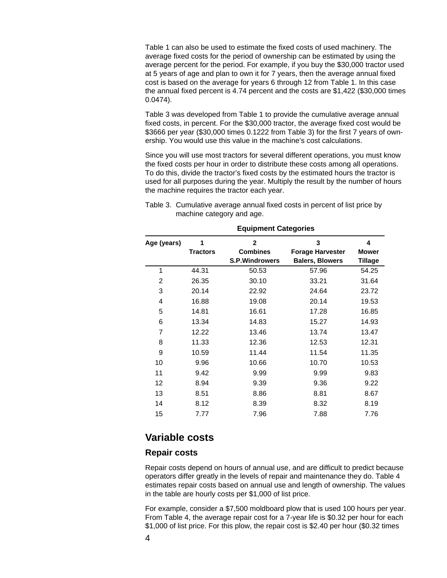Table 1 can also be used to estimate the fixed costs of used machinery. The average fixed costs for the period of ownership can be estimated by using the average percent for the period. For example, if you buy the \$30,000 tractor used at 5 years of age and plan to own it for 7 years, then the average annual fixed cost is based on the average for years 6 through 12 from Table 1. In this case the annual fixed percent is 4.74 percent and the costs are \$1,422 (\$30,000 times 0.0474).

Table 3 was developed from Table 1 to provide the cumulative average annual fixed costs, in percent. For the \$30,000 tractor, the average fixed cost would be \$3666 per year (\$30,000 times 0.1222 from Table 3) for the first 7 years of ownership. You would use this value in the machine's cost calculations.

Since you will use most tractors for several different operations, you must know the fixed costs per hour in order to distribute these costs among all operations. To do this, divide the tractor's fixed costs by the estimated hours the tractor is used for all purposes during the year. Multiply the result by the number of hours the machine requires the tractor each year.

**Equipment Categories**

| Age (years) | 1<br><b>Tractors</b> | $\overline{2}$<br><b>Combines</b><br><b>S.P.Windrowers</b> | 3<br><b>Forage Harvester</b><br><b>Balers, Blowers</b> | 4<br><b>Mower</b><br><b>Tillage</b> |  |
|-------------|----------------------|------------------------------------------------------------|--------------------------------------------------------|-------------------------------------|--|
| 1           | 44.31                | 50.53                                                      | 57.96                                                  | 54.25                               |  |
| 2           | 26.35                | 30.10                                                      | 33.21                                                  | 31.64                               |  |
| 3           | 20.14                | 22.92                                                      | 24.64                                                  | 23.72                               |  |
| 4           | 16.88                | 19.08                                                      | 20.14                                                  | 19.53                               |  |
| 5           | 14.81                | 16.61                                                      | 17.28                                                  | 16.85                               |  |
| 6           | 13.34                | 14.83                                                      | 15.27                                                  | 14.93                               |  |
| 7           | 12.22                | 13.46                                                      | 13.74                                                  | 13.47                               |  |
| 8           | 11.33                | 12.36                                                      | 12.53                                                  | 12.31                               |  |
| 9           | 10.59                | 11.44                                                      | 11.54                                                  | 11.35                               |  |
| 10          | 9.96                 | 10.66                                                      | 10.70                                                  | 10.53                               |  |
| 11          | 9.42                 | 9.99                                                       | 9.99                                                   | 9.83                                |  |
| 12          | 8.94                 | 9.39                                                       | 9.36                                                   | 9.22                                |  |
| 13          | 8.51                 | 8.86                                                       | 8.81                                                   | 8.67                                |  |
| 14          | 8.12                 | 8.39                                                       | 8.32                                                   | 8.19                                |  |
| 15          | 7.77                 | 7.96                                                       | 7.88                                                   | 7.76                                |  |

#### Table 3. Cumulative average annual fixed costs in percent of list price by machine category and age.

## **Variable costs**

#### **Repair costs**

Repair costs depend on hours of annual use, and are difficult to predict because operators differ greatly in the levels of repair and maintenance they do. Table 4 estimates repair costs based on annual use and length of ownership. The values in the table are hourly costs per \$1,000 of list price.

For example, consider a \$7,500 moldboard plow that is used 100 hours per year. From Table 4, the average repair cost for a 7-year life is \$0.32 per hour for each \$1,000 of list price. For this plow, the repair cost is \$2.40 per hour (\$0.32 times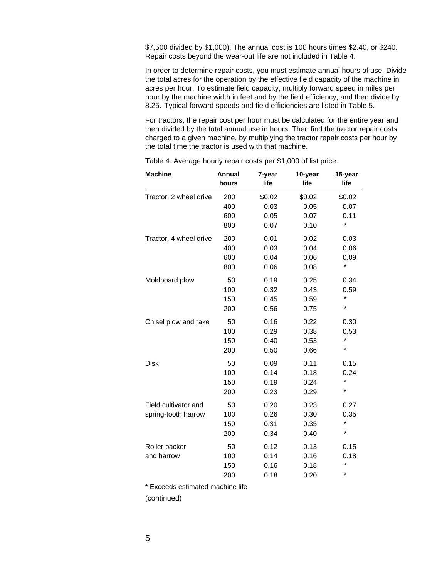\$7,500 divided by \$1,000). The annual cost is 100 hours times \$2.40, or \$240. Repair costs beyond the wear-out life are not included in Table 4.

In order to determine repair costs, you must estimate annual hours of use. Divide the total acres for the operation by the effective field capacity of the machine in acres per hour. To estimate field capacity, multiply forward speed in miles per hour by the machine width in feet and by the field efficiency, and then divide by 8.25. Typical forward speeds and field efficiencies are listed in Table 5.

For tractors, the repair cost per hour must be calculated for the entire year and then divided by the total annual use in hours. Then find the tractor repair costs charged to a given machine, by multiplying the tractor repair costs per hour by the total time the tractor is used with that machine.

| <b>Machine</b>         | Annual<br>hours | 7-year<br>life | 10-year<br>life | 15-year<br>life |
|------------------------|-----------------|----------------|-----------------|-----------------|
| Tractor, 2 wheel drive | 200             | \$0.02         | \$0.02          | \$0.02          |
|                        | 400             | 0.03           | 0.05            | 0.07            |
|                        | 600             | 0.05           | 0.07            | 0.11            |
|                        | 800             | 0.07           | 0.10            | $\star$         |
| Tractor, 4 wheel drive | 200             | 0.01           | 0.02            | 0.03            |
|                        | 400             | 0.03           | 0.04            | 0.06            |
|                        | 600             | 0.04           | 0.06            | 0.09            |
|                        | 800             | 0.06           | 0.08            | $\star$         |
| Moldboard plow         | 50              | 0.19           | 0.25            | 0.34            |
|                        | 100             | 0.32           | 0.43            | 0.59            |
|                        | 150             | 0.45           | 0.59            | $\star$         |
|                        | 200             | 0.56           | 0.75            | $\star$         |
| Chisel plow and rake   | 50              | 0.16           | 0.22            | 0.30            |
|                        | 100             | 0.29           | 0.38            | 0.53            |
|                        | 150             | 0.40           | 0.53            | $\star$         |
|                        | 200             | 0.50           | 0.66            | $\star$         |
| Disk                   | 50              | 0.09           | 0.11            | 0.15            |
|                        | 100             | 0.14           | 0.18            | 0.24            |
|                        | 150             | 0.19           | 0.24            | $\star$         |
|                        | 200             | 0.23           | 0.29            | $\star$         |
| Field cultivator and   | 50              | 0.20           | 0.23            | 0.27            |
| spring-tooth harrow    | 100             | 0.26           | 0.30            | 0.35            |
|                        | 150             | 0.31           | 0.35            | $\star$         |
|                        | 200             | 0.34           | 0.40            | $\star$         |
| Roller packer          | 50              | 0.12           | 0.13            | 0.15            |
| and harrow             | 100             | 0.14           | 0.16            | 0.18            |
|                        | 150             | 0.16           | 0.18            | $\star$         |
|                        | 200             | 0.18           | 0.20            | $\star$         |

Table 4. Average hourly repair costs per \$1,000 of list price.

\* Exceeds estimated machine life

(continued)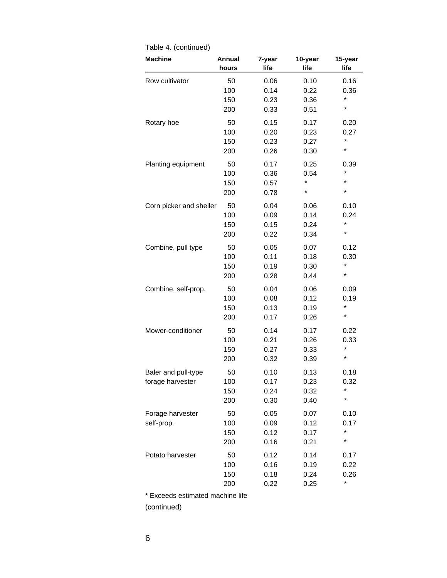| <b>Machine</b>          | Annual | 7-year | 10-year | 15-year |
|-------------------------|--------|--------|---------|---------|
|                         | hours  | life   | life    | life    |
| Row cultivator          | 50     | 0.06   | 0.10    | 0.16    |
|                         | 100    | 0.14   | 0.22    | 0.36    |
|                         | 150    | 0.23   | 0.36    | *       |
|                         | 200    | 0.33   | 0.51    | *       |
| Rotary hoe              | 50     | 0.15   | 0.17    | 0.20    |
|                         | 100    | 0.20   | 0.23    | 0.27    |
|                         | 150    | 0.23   | 0.27    | *       |
|                         | 200    | 0.26   | 0.30    | $\star$ |
| Planting equipment      | 50     | 0.17   | 0.25    | 0.39    |
|                         | 100    | 0.36   | 0.54    | $\star$ |
|                         | 150    | 0.57   | $\star$ | $\star$ |
|                         | 200    | 0.78   | $\star$ | $\star$ |
| Corn picker and sheller | 50     | 0.04   | 0.06    | 0.10    |
|                         | 100    | 0.09   | 0.14    | 0.24    |
|                         | 150    | 0.15   | 0.24    | *       |
|                         | 200    | 0.22   | 0.34    | $\star$ |
| Combine, pull type      | 50     | 0.05   | 0.07    | 0.12    |
|                         | 100    | 0.11   | 0.18    | 0.30    |
|                         | 150    | 0.19   | 0.30    | *       |
|                         | 200    | 0.28   | 0.44    | *       |
| Combine, self-prop.     | 50     | 0.04   | 0.06    | 0.09    |
|                         | 100    | 0.08   | 0.12    | 0.19    |
|                         | 150    | 0.13   | 0.19    | *       |
|                         | 200    | 0.17   | 0.26    | $\star$ |
| Mower-conditioner       | 50     | 0.14   | 0.17    | 0.22    |
|                         | 100    | 0.21   | 0.26    | 0.33    |
|                         | 150    | 0.27   | 0.33    | $\star$ |
|                         | 200    | 0.32   | 0.39    | *       |
| Baler and pull-type     | 50     | 0.10   | 0.13    | 0.18    |
| forage harvester        | 100    | 0.17   | 0.23    | 0.32    |
|                         | 150    | 0.24   | 0.32    | *       |
|                         | 200    | 0.30   | 0.40    | *       |
| Forage harvester        | 50     | 0.05   | 0.07    | 0.10    |
| self-prop.              | 100    | 0.09   | 0.12    | 0.17    |
|                         | 150    | 0.12   | 0.17    | *       |
|                         | 200    | 0.16   | 0.21    | *       |
| Potato harvester        | 50     | 0.12   | 0.14    | 0.17    |
|                         | 100    | 0.16   | 0.19    | 0.22    |
|                         | 150    | 0.18   | 0.24    | 0.26    |
|                         | 200    | 0.22   | 0.25    | $\star$ |

Table 4. (continued)

\* Exceeds estimated machine life

(continued)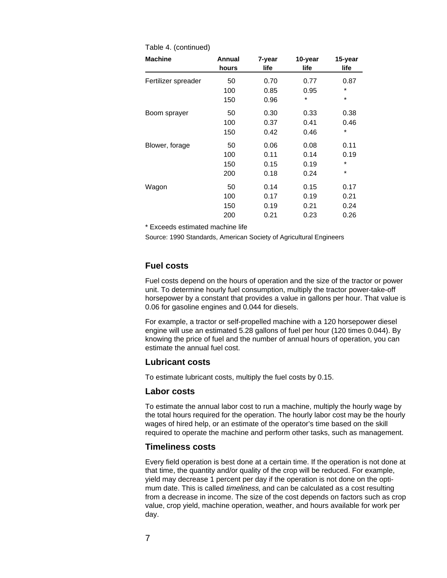| <b>Machine</b>      | Annual<br>hours | 7-year<br>life | 10-year<br>life | 15-year<br>life |
|---------------------|-----------------|----------------|-----------------|-----------------|
| Fertilizer spreader | 50              | 0.70           | 0.77            | 0.87            |
|                     | 100             | 0.85           | 0.95            | *               |
|                     | 150             | 0.96           | *               | $\star$         |
| Boom sprayer        | 50              | 0.30           | 0.33            | 0.38            |
|                     | 100             | 0.37           | 0.41            | 0.46            |
|                     | 150             | 0.42           | 0.46            | *               |
| Blower, forage      | 50              | 0.06           | 0.08            | 0.11            |
|                     | 100             | 0.11           | 0.14            | 0.19            |
|                     | 150             | 0.15           | 0.19            | *               |
|                     | 200             | 0.18           | 0.24            | *               |
| Wagon               | 50              | 0.14           | 0.15            | 0.17            |
|                     | 100             | 0.17           | 0.19            | 0.21            |
|                     | 150             | 0.19           | 0.21            | 0.24            |
|                     | 200             | 0.21           | 0.23            | 0.26            |

Table 4. (continued)

\* Exceeds estimated machine life

Source: 1990 Standards, American Society of Agricultural Engineers

#### **Fuel costs**

Fuel costs depend on the hours of operation and the size of the tractor or power unit. To determine hourly fuel consumption, multiply the tractor power-take-off horsepower by a constant that provides a value in gallons per hour. That value is 0.06 for gasoline engines and 0.044 for diesels.

For example, a tractor or self-propelled machine with a 120 horsepower diesel engine will use an estimated 5.28 gallons of fuel per hour (120 times 0.044). By knowing the price of fuel and the number of annual hours of operation, you can estimate the annual fuel cost.

#### **Lubricant costs**

To estimate lubricant costs, multiply the fuel costs by 0.15.

#### **Labor costs**

To estimate the annual labor cost to run a machine, multiply the hourly wage by the total hours required for the operation. The hourly labor cost may be the hourly wages of hired help, or an estimate of the operator's time based on the skill required to operate the machine and perform other tasks, such as management.

#### **Timeliness costs**

Every field operation is best done at a certain time. If the operation is not done at that time, the quantity and/or quality of the crop will be reduced. For example, yield may decrease 1 percent per day if the operation is not done on the optimum date. This is called timeliness, and can be calculated as a cost resulting from a decrease in income. The size of the cost depends on factors such as crop value, crop yield, machine operation, weather, and hours available for work per day.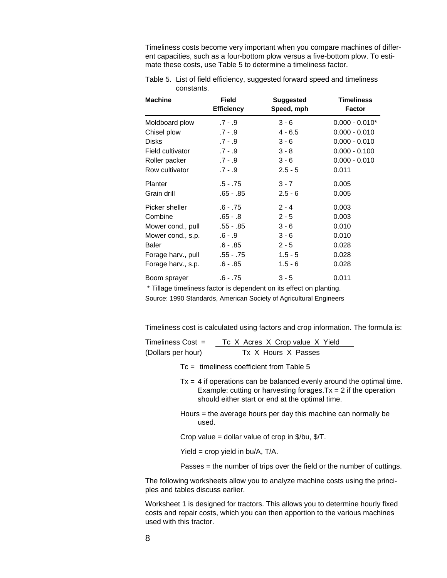Timeliness costs become very important when you compare machines of different capacities, such as a four-bottom plow versus a five-bottom plow. To estimate these costs, use Table 5 to determine a timeliness factor.

| <b>Machine</b>     | <b>Field</b><br><b>Efficiency</b> | <b>Suggested</b><br>Speed, mph | <b>Timeliness</b><br><b>Factor</b> |
|--------------------|-----------------------------------|--------------------------------|------------------------------------|
| Moldboard plow     | $.7 - .9$                         | $3 - 6$                        | $0.000 - 0.010*$                   |
| Chisel plow        | $.7 - .9$                         | $4 - 6.5$                      | $0.000 - 0.010$                    |
| <b>Disks</b>       | $.7 - .9$                         | $3 - 6$                        | $0.000 - 0.010$                    |
| Field cultivator   | $.7 - .9$                         | $3 - 8$                        | $0.000 - 0.100$                    |
| Roller packer      | $.7 - .9$                         | $3 - 6$                        | $0.000 - 0.010$                    |
| Row cultivator     | $.7 - .9$                         | $2.5 - 5$                      | 0.011                              |
| Planter            | $.5 - .75$                        | $3 - 7$                        | 0.005                              |
| Grain drill        | .65 - .85                         | $2.5 - 6$                      | 0.005                              |
| Picker sheller     | .6 - .75                          | $2 - 4$                        | 0.003                              |
| Combine            | $.65 - .8$                        | $2 - 5$                        | 0.003                              |
| Mower cond., pull  | $.55 - .85$                       | $3 - 6$                        | 0.010                              |
| Mower cond., s.p.  | $.6 - .9$                         | $3 - 6$                        | 0.010                              |
| Baler              | $.6 - .85$                        | $2 - 5$                        | 0.028                              |
| Forage harv., pull | .55 - .75                         | $1.5 - 5$                      | 0.028                              |
| Forage harv., s.p. | .6 - .85                          | $1.5 - 6$                      | 0.028                              |
| Boom sprayer       | $.6 - .75$                        | $3 - 5$                        | 0.011                              |

Table 5. List of field efficiency, suggested forward speed and timeliness constants.

\* Tillage timeliness factor is dependent on its effect on planting.

Source: 1990 Standards, American Society of Agricultural Engineers

Timeliness cost is calculated using factors and crop information. The formula is:

| $Timelines Cost =$<br>(Dollars per hour) | To X Acres X Crop value X Yield<br>Tx X Hours X Passes                                                                                                                                         |
|------------------------------------------|------------------------------------------------------------------------------------------------------------------------------------------------------------------------------------------------|
|                                          | $Tc =$ timeliness coefficient from Table 5                                                                                                                                                     |
|                                          | $Tx = 4$ if operations can be balanced evenly around the optimal time.<br>Example: cutting or harvesting forages. $Tx = 2$ if the operation<br>should either start or end at the optimal time. |
| used.                                    | Hours $=$ the average hours per day this machine can normally be                                                                                                                               |
|                                          | Crop value = dollar value of crop in $\frac{1}{2}$ /bu, $\frac{1}{2}$ /T.                                                                                                                      |
|                                          | Yield = $\text{crop}$ yield in bu/A, T/A.                                                                                                                                                      |
|                                          | Passes = the number of trips over the field or the number of cuttings.                                                                                                                         |
| ples and tables discuss earlier.         | The following worksheets allow you to analyze machine costs using the princi-                                                                                                                  |

Worksheet 1 is designed for tractors. This allows you to determine hourly fixed costs and repair costs, which you can then apportion to the various machines used with this tractor.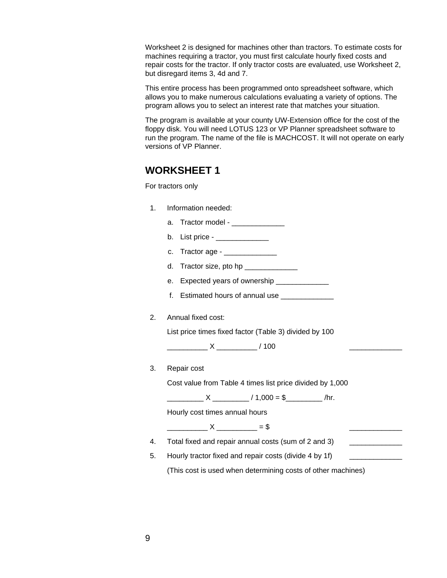Worksheet 2 is designed for machines other than tractors. To estimate costs for machines requiring a tractor, you must first calculate hourly fixed costs and repair costs for the tractor. If only tractor costs are evaluated, use Worksheet 2, but disregard items 3, 4d and 7.

This entire process has been programmed onto spreadsheet software, which allows you to make numerous calculations evaluating a variety of options. The program allows you to select an interest rate that matches your situation.

The program is available at your county UW-Extension office for the cost of the floppy disk. You will need LOTUS 123 or VP Planner spreadsheet software to run the program. The name of the file is MACHCOST. It will not operate on early versions of VP Planner.

### **WORKSHEET 1**

For tractors only

- 1. Information needed:
	- a. Tractor model -
	- b. List price \_\_\_\_\_\_\_\_\_\_\_\_\_\_
	- c. Tractor age  $\frac{1}{2}$
	- d. Tractor size, pto hp \_\_\_\_\_\_\_\_\_\_\_\_\_\_
	- e. Expected years of ownership \_\_\_\_\_\_\_\_\_\_\_\_\_
	- f. Estimated hours of annual use
- 2. Annual fixed cost:

List price times fixed factor (Table 3) divided by 100

\_\_\_\_\_\_\_\_\_\_ X \_\_\_\_\_\_\_\_\_\_ / 100 \_\_\_\_\_\_\_\_\_\_\_\_\_

3. Repair cost

Cost value from Table 4 times list price divided by 1,000

\_\_\_\_\_\_\_\_\_ X \_\_\_\_\_\_\_\_\_ / 1,000 = \$\_\_\_\_\_\_\_\_\_ /hr.

Hourly cost times annual hours

 $X = \$$ 

- 4. Total fixed and repair annual costs (sum of 2 and 3)
- 5. Hourly tractor fixed and repair costs (divide 4 by 1f)

(This cost is used when determining costs of other machines)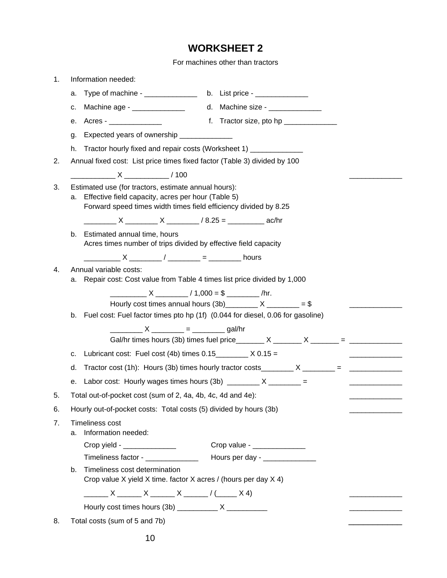# **WORKSHEET 2**

For machines other than tractors

| 1. |    | Information needed:                                                                                                                                                                                                                                                     |
|----|----|-------------------------------------------------------------------------------------------------------------------------------------------------------------------------------------------------------------------------------------------------------------------------|
|    | a. | b. List price - $\frac{1}{2}$                                                                                                                                                                                                                                           |
|    | с. | d. Machine size - ______________<br>Machine age - _______________                                                                                                                                                                                                       |
|    | е. | f. Tractor size, pto hp ______________<br>Acres - The Second Second Second Second Second Second Second Second Second Second Second Second Second Second Second Second Second Second Second Second Second Second Second Second Second Second Second Second Second Second |
|    | g. | Expected years of ownership ______________                                                                                                                                                                                                                              |
|    | h. | Tractor hourly fixed and repair costs (Worksheet 1) ______________                                                                                                                                                                                                      |
| 2. |    | Annual fixed cost: List price times fixed factor (Table 3) divided by 100                                                                                                                                                                                               |
|    |    |                                                                                                                                                                                                                                                                         |
| 3. |    | Estimated use (for tractors, estimate annual hours):<br>a. Effective field capacity, acres per hour (Table 5)<br>Forward speed times width times field efficiency divided by 8.25                                                                                       |
|    |    |                                                                                                                                                                                                                                                                         |
|    |    | b. Estimated annual time, hours<br>Acres times number of trips divided by effective field capacity                                                                                                                                                                      |
|    |    | $X \qquad / \qquad = \qquad$ hours                                                                                                                                                                                                                                      |
| 4. |    | Annual variable costs:                                                                                                                                                                                                                                                  |
|    | а. | Repair cost: Cost value from Table 4 times list price divided by 1,000                                                                                                                                                                                                  |
|    |    | $X \t 1,000 = $$ / 1,000 = \,<br>Hourly cost times annual hours $(3b)$ X ________ = \$                                                                                                                                                                                  |
|    |    | b. Fuel cost: Fuel factor times pto hp (1f) (0.044 for diesel, 0.06 for gasoline)                                                                                                                                                                                       |
|    |    | $X \t = \t - \t \text{gal/hr}$                                                                                                                                                                                                                                          |
|    |    |                                                                                                                                                                                                                                                                         |
|    | c. | Lubricant cost: Fuel cost (4b) times $0.15$ _________ $X 0.15$ =                                                                                                                                                                                                        |
|    | d. |                                                                                                                                                                                                                                                                         |
|    | е. | Labor cost: Hourly wages times hours (3b) $\frac{1}{2}$ X $\frac{1}{2}$ =                                                                                                                                                                                               |
| 5. |    | Total out-of-pocket cost (sum of 2, 4a, 4b, 4c, 4d and 4e):                                                                                                                                                                                                             |
| 6. |    | Hourly out-of-pocket costs: Total costs (5) divided by hours (3b)                                                                                                                                                                                                       |
| 7. | a. | Timeliness cost<br>Information needed:                                                                                                                                                                                                                                  |
|    |    | Crop value - $\frac{1}{2}$                                                                                                                                                                                                                                              |
|    |    | Timeliness factor - ______________<br>Hours per day - ________________                                                                                                                                                                                                  |
|    | b. | Timeliness cost determination<br>Crop value X yield X time. factor X acres / (hours per day X 4)                                                                                                                                                                        |
|    |    | $X = X$ $X = X$ $X = Y$ $(X = 4)$                                                                                                                                                                                                                                       |
|    |    |                                                                                                                                                                                                                                                                         |
| 8. |    | Total costs (sum of 5 and 7b)                                                                                                                                                                                                                                           |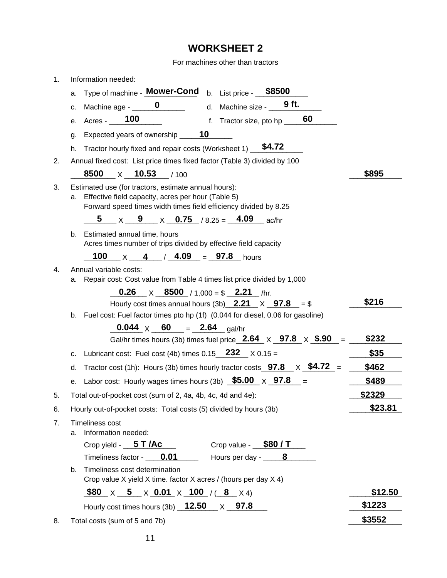# **WORKSHEET 2**

For machines other than tractors

| 1. | Information needed:                                                                                                                                                                                                                                            |         |
|----|----------------------------------------------------------------------------------------------------------------------------------------------------------------------------------------------------------------------------------------------------------------|---------|
|    | Type of machine - <b>Mower-Cond</b> b. List price - \$8500<br>a.                                                                                                                                                                                               |         |
|    | d. Machine size - $\underline{\hspace{1em}}$ 9 ft.<br>Machine age - $\qquad \qquad \overline{\qquad \qquad }$<br>c.                                                                                                                                            |         |
|    | 100<br>60<br>Acres -<br>f. Tractor size, pto hp ____<br>е.                                                                                                                                                                                                     |         |
|    | 10<br>Expected years of ownership ____<br>g.                                                                                                                                                                                                                   |         |
|    | Tractor hourly fixed and repair costs (Worksheet 1) $\overline{\phantom{0}}$ \$4.72<br>h.                                                                                                                                                                      |         |
| 2. | Annual fixed cost: List price times fixed factor (Table 3) divided by 100                                                                                                                                                                                      |         |
|    | 8500<br>$\times$ 10.53<br>/100                                                                                                                                                                                                                                 | \$895   |
| 3. | Estimated use (for tractors, estimate annual hours):<br>a. Effective field capacity, acres per hour (Table 5)<br>Forward speed times width times field efficiency divided by 8.25                                                                              |         |
|    | 5 $\times$ 9 $\times$ 0.75 /8.25 = 4.09 ac/hr                                                                                                                                                                                                                  |         |
|    | b. Estimated annual time, hours<br>Acres times number of trips divided by effective field capacity                                                                                                                                                             |         |
|    | $\times$ 4 / 4.09 = 97.8 hours<br>100                                                                                                                                                                                                                          |         |
| 4. | Annual variable costs:                                                                                                                                                                                                                                         |         |
|    | a. Repair cost: Cost value from Table 4 times list price divided by 1,000                                                                                                                                                                                      |         |
|    | $\times$ 8500 / 1,000 = \$ 2.21 /hr.<br>0.26<br>Hourly cost times annual hours (3b) $2.21 \times 97.8 = $$                                                                                                                                                     | \$216   |
|    | b. Fuel cost: Fuel factor times pto hp (1f) (0.044 for diesel, 0.06 for gasoline)                                                                                                                                                                              |         |
|    | <b>0.044</b> $\times$ 60 = 2.64 gal/hr                                                                                                                                                                                                                         |         |
|    | Gal/hr times hours (3b) times fuel price $2.64 \times 97.8 \times 10^{-10}$ =                                                                                                                                                                                  | \$232   |
|    | Lubricant cost: Fuel cost (4b) times $0.15$ $232$ $\times$ 0.15 =<br>c.                                                                                                                                                                                        | \$35    |
|    | d. Tractor cost (1h): Hours (3b) times hourly tractor costs $97.8 \times 10^{-17}$ =                                                                                                                                                                           | \$462   |
|    | e. Labor cost: Hourly wages times hours (3b) $$5.00 \times 97.8 =$                                                                                                                                                                                             | \$489   |
| 5. | Total out-of-pocket cost (sum of 2, 4a, 4b, 4c, 4d and 4e):                                                                                                                                                                                                    | \$2329  |
| 6. | Hourly out-of-pocket costs: Total costs (5) divided by hours (3b)                                                                                                                                                                                              | \$23.81 |
| 7. | Timeliness cost<br>Information needed:<br>а.<br>Crop yield $-$ 5 T /Ac<br>Crop value - $$80/T$<br>0.01<br>Hours per day $-$ 8<br>Timeliness factor -<br>Timeliness cost determination<br>b.<br>Crop value X yield X time. factor X acres / (hours per day X 4) |         |
|    | $$80 \times 5 \times 0.01 \times 100 \times 8 \times 4)$                                                                                                                                                                                                       | \$12.50 |
|    | Hourly cost times hours $(3b)$ $12.50$ $\times$ 97.8                                                                                                                                                                                                           | \$1223  |
| 8. | Total costs (sum of 5 and 7b)                                                                                                                                                                                                                                  | \$3552  |